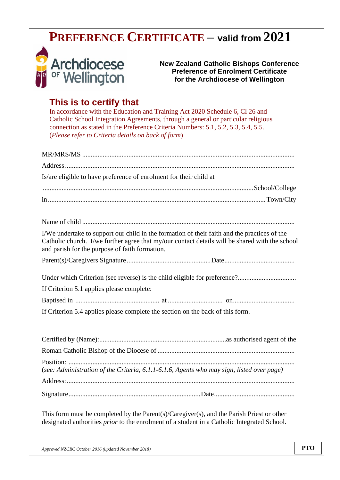# **PREFERENCE CERTIFICATE – valid from 2021**



**New Zealand Catholic Bishops Conference Preference of Enrolment Certificate for the Archdiocese of Wellington**

### **This is to certify that**

In accordance with the Education and Training Act 2020 Schedule 6, Cl 26 and Catholic School Integration Agreements, through a general or particular religious connection as stated in the Preference Criteria Numbers: 5.1, 5.2, 5.3, 5.4, 5.5. (*Please refer to Criteria details on back of form*)

| Is/are eligible to have preference of enrolment for their child at                                                                                                                                                                               |
|--------------------------------------------------------------------------------------------------------------------------------------------------------------------------------------------------------------------------------------------------|
|                                                                                                                                                                                                                                                  |
|                                                                                                                                                                                                                                                  |
|                                                                                                                                                                                                                                                  |
| I/We undertake to support our child in the formation of their faith and the practices of the<br>Catholic church. I/we further agree that my/our contact details will be shared with the school<br>and parish for the purpose of faith formation. |
|                                                                                                                                                                                                                                                  |
| If Criterion 5.1 applies please complete:                                                                                                                                                                                                        |
|                                                                                                                                                                                                                                                  |
| If Criterion 5.4 applies please complete the section on the back of this form.                                                                                                                                                                   |
|                                                                                                                                                                                                                                                  |
|                                                                                                                                                                                                                                                  |
|                                                                                                                                                                                                                                                  |
| (see: Administration of the Criteria, 6.1.1-6.1.6, Agents who may sign, listed over page)                                                                                                                                                        |
|                                                                                                                                                                                                                                                  |
|                                                                                                                                                                                                                                                  |

This form must be completed by the Parent(s)/Caregiver(s), and the Parish Priest or other designated authorities *prior* to the enrolment of a student in a Catholic Integrated School.